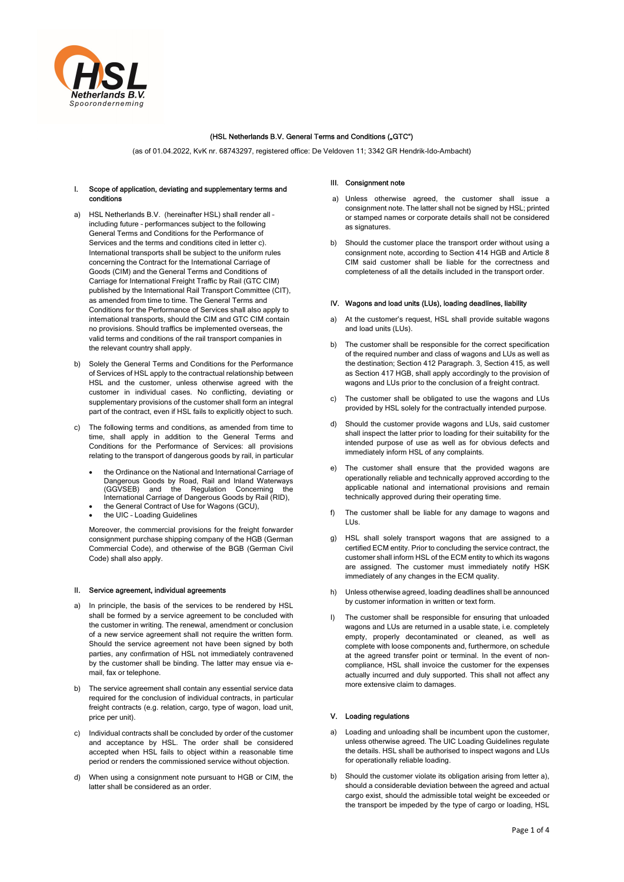

# (HSL Netherlands B.V. General Terms and Conditions ("GTC")

(as of 01.04.2022, KvK nr. 68743297, registered office: De Veldoven 11; 3342 GR Hendrik-Ido-Ambacht)

## I. Scope of application, deviating and supplementary terms and conditions

- a) HSL Netherlands B.V. (hereinafter HSL) shall render all including future – performances subject to the following General Terms and Conditions for the Performance of Services and the terms and conditions cited in letter c). International transports shall be subject to the uniform rules concerning the Contract for the International Carriage of Goods (CIM) and the General Terms and Conditions of Carriage for International Freight Traffic by Rail (GTC CIM) published by the International Rail Transport Committee (CIT), as amended from time to time. The General Terms and Conditions for the Performance of Services shall also apply to international transports, should the CIM and GTC CIM contain no provisions. Should traffics be implemented overseas, the valid terms and conditions of the rail transport companies in the relevant country shall apply.
- Solely the General Terms and Conditions for the Performance of Services of HSL apply to the contractual relationship between HSL and the customer, unless otherwise agreed with the customer in individual cases. No conflicting, deviating or supplementary provisions of the customer shall form an integral part of the contract, even if HSL fails to explicitly object to such.
- c) The following terms and conditions, as amended from time to time, shall apply in addition to the General Terms and Conditions for the Performance of Services: all provisions relating to the transport of dangerous goods by rail, in particular
	- the Ordinance on the National and International Carriage of Dangerous Goods by Road, Rail and Inland Waterways (GGVSEB) and the Regulation Concerning the International Carriage of Dangerous Goods by Rail (RID),
	- the General Contract of Use for Wagons (GCU),
	- the UIC Loading Guidelines

Moreover, the commercial provisions for the freight forwarder consignment purchase shipping company of the HGB (German Commercial Code), and otherwise of the BGB (German Civil Code) shall also apply.

### II. Service agreement, individual agreements

- a) In principle, the basis of the services to be rendered by HSL shall be formed by a service agreement to be concluded with the customer in writing. The renewal, amendment or conclusion of a new service agreement shall not require the written form. Should the service agreement not have been signed by both parties, any confirmation of HSL not immediately contravened by the customer shall be binding. The latter may ensue via email, fax or telephone.
- b) The service agreement shall contain any essential service data required for the conclusion of individual contracts, in particular freight contracts (e.g. relation, cargo, type of wagon, load unit, price per unit).
- c) Individual contracts shall be concluded by order of the customer and acceptance by HSL. The order shall be considered accepted when HSL fails to object within a reasonable time period or renders the commissioned service without objection.
- d) When using a consignment note pursuant to HGB or CIM, the latter shall be considered as an order.

## III. Consignment note

- a) Unless otherwise agreed, the customer shall issue a consignment note. The latter shall not be signed by HSL; printed or stamped names or corporate details shall not be considered as signatures.
- b) Should the customer place the transport order without using a consignment note, according to Section 414 HGB and Article 8 CIM said customer shall be liable for the correctness and completeness of all the details included in the transport order.

## IV. Wagons and load units (LUs), loading deadlines, liability

- a) At the customer's request, HSL shall provide suitable wagons and load units (LUs).
- b) The customer shall be responsible for the correct specification of the required number and class of wagons and LUs as well as the destination; Section 412 Paragraph. 3, Section 415, as well as Section 417 HGB, shall apply accordingly to the provision of wagons and LUs prior to the conclusion of a freight contract.
- c) The customer shall be obligated to use the wagons and LUs provided by HSL solely for the contractually intended purpose.
- d) Should the customer provide wagons and LUs, said customer shall inspect the latter prior to loading for their suitability for the intended purpose of use as well as for obvious defects and immediately inform HSL of any complaints.
- e) The customer shall ensure that the provided wagons are operationally reliable and technically approved according to the applicable national and international provisions and remain technically approved during their operating time.
- f) The customer shall be liable for any damage to wagons and LUs.
- g) HSL shall solely transport wagons that are assigned to a certified ECM entity. Prior to concluding the service contract, the customer shall inform HSL of the ECM entity to which its wagons are assigned. The customer must immediately notify HSK immediately of any changes in the ECM quality.
- h) Unless otherwise agreed, loading deadlines shall be announced by customer information in written or text form.
- I) The customer shall be responsible for ensuring that unloaded wagons and LUs are returned in a usable state, i.e. completely empty, properly decontaminated or cleaned, as well as complete with loose components and, furthermore, on schedule at the agreed transfer point or terminal. In the event of noncompliance, HSL shall invoice the customer for the expenses actually incurred and duly supported. This shall not affect any more extensive claim to damages.

### V. Loading regulations

- a) Loading and unloading shall be incumbent upon the customer, unless otherwise agreed. The UIC Loading Guidelines regulate the details. HSL shall be authorised to inspect wagons and LUs for operationally reliable loading.
- b) Should the customer violate its obligation arising from letter a), should a considerable deviation between the agreed and actual cargo exist, should the admissible total weight be exceeded or the transport be impeded by the type of cargo or loading, HSL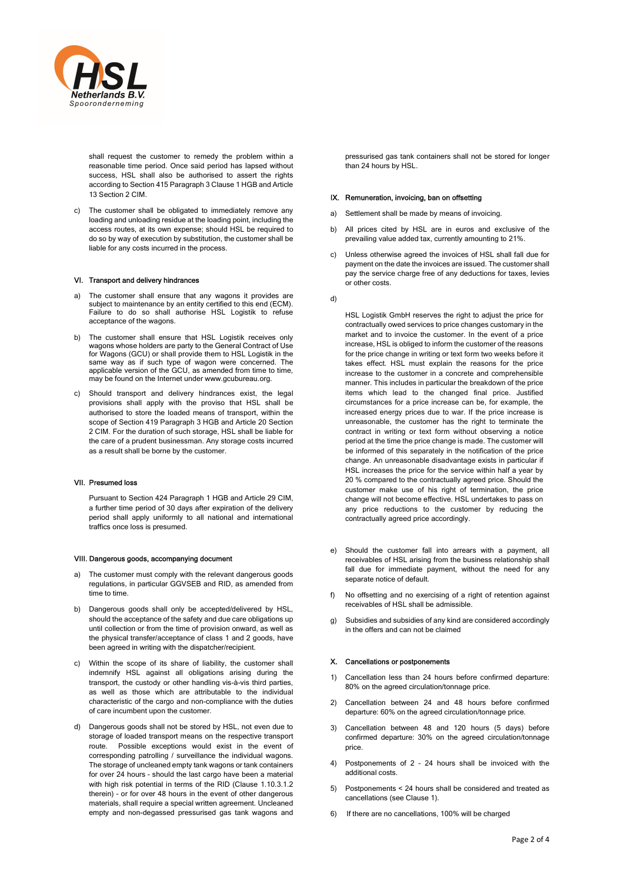

shall request the customer to remedy the problem within a reasonable time period. Once said period has lapsed without success, HSL shall also be authorised to assert the rights according to Section 415 Paragraph 3 Clause 1 HGB and Article 13 Section 2 CIM.

c) The customer shall be obligated to immediately remove any loading and unloading residue at the loading point, including the access routes, at its own expense; should HSL be required to do so by way of execution by substitution, the customer shall be liable for any costs incurred in the process.

## VI. Transport and delivery hindrances

- a) The customer shall ensure that any wagons it provides are subject to maintenance by an entity certified to this end (ECM). Failure to do so shall authorise HSL Logistik to refuse acceptance of the wagons.
- b) The customer shall ensure that HSL Logistik receives only wagons whose holders are party to the General Contract of Use for Wagons (GCU) or shall provide them to HSL Logistik in the same way as if such type of wagon were concerned. The applicable version of the GCU, as amended from time to time, may be found on the Internet under www.gcubureau.org.
- c) Should transport and delivery hindrances exist, the legal provisions shall apply with the proviso that HSL shall be authorised to store the loaded means of transport, within the scope of Section 419 Paragraph 3 HGB and Article 20 Section 2 CIM. For the duration of such storage, HSL shall be liable for the care of a prudent businessman. Any storage costs incurred as a result shall be borne by the customer.

### VII. Presumed loss

Pursuant to Section 424 Paragraph 1 HGB and Article 29 CIM, a further time period of 30 days after expiration of the delivery period shall apply uniformly to all national and international traffics once loss is presumed.

### VIII. Dangerous goods, accompanying document

- a) The customer must comply with the relevant dangerous goods regulations, in particular GGVSEB and RID, as amended from time to time.
- b) Dangerous goods shall only be accepted/delivered by HSL, should the acceptance of the safety and due care obligations up until collection or from the time of provision onward, as well as the physical transfer/acceptance of class 1 and 2 goods, have been agreed in writing with the dispatcher/recipient.
- c) Within the scope of its share of liability, the customer shall indemnify HSL against all obligations arising during the transport, the custody or other handling vis-à-vis third parties, as well as those which are attributable to the individual characteristic of the cargo and non-compliance with the duties of care incumbent upon the customer.
- d) Dangerous goods shall not be stored by HSL, not even due to storage of loaded transport means on the respective transport route. Possible exceptions would exist in the event of corresponding patrolling / surveillance the individual wagons. The storage of uncleaned empty tank wagons or tank containers for over 24 hours – should the last cargo have been a material with high risk potential in terms of the RID (Clause 1.10.3.1.2 therein) – or for over 48 hours in the event of other dangerous materials, shall require a special written agreement. Uncleaned empty and non-degassed pressurised gas tank wagons and

pressurised gas tank containers shall not be stored for longer than 24 hours by HSL.

#### IX. Remuneration, invoicing, ban on offsetting

- a) Settlement shall be made by means of invoicing.
- All prices cited by HSL are in euros and exclusive of the prevailing value added tax, currently amounting to 21%.
- c) Unless otherwise agreed the invoices of HSL shall fall due for payment on the date the invoices are issued. The customer shall pay the service charge free of any deductions for taxes, levies or other costs.

d)

HSL Logistik GmbH reserves the right to adjust the price for contractually owed services to price changes customary in the market and to invoice the customer. In the event of a price increase, HSL is obliged to inform the customer of the reasons for the price change in writing or text form two weeks before it takes effect. HSL must explain the reasons for the price increase to the customer in a concrete and comprehensible manner. This includes in particular the breakdown of the price items which lead to the changed final price. Justified circumstances for a price increase can be, for example, the increased energy prices due to war. If the price increase is unreasonable, the customer has the right to terminate the contract in writing or text form without observing a notice period at the time the price change is made. The customer will be informed of this separately in the notification of the price change. An unreasonable disadvantage exists in particular if HSL increases the price for the service within half a year by 20 % compared to the contractually agreed price. Should the customer make use of his right of termination, the price change will not become effective. HSL undertakes to pass on any price reductions to the customer by reducing the contractually agreed price accordingly.

- e) Should the customer fall into arrears with a payment, all receivables of HSL arising from the business relationship shall fall due for immediate payment, without the need for any separate notice of default.
- f) No offsetting and no exercising of a right of retention against receivables of HSL shall be admissible.
- g) Subsidies and subsidies of any kind are considered accordingly in the offers and can not be claimed

## X. Cancellations or postponements

- 1) Cancellation less than 24 hours before confirmed departure: 80% on the agreed circulation/tonnage price.
- 2) Cancellation between 24 and 48 hours before confirmed departure: 60% on the agreed circulation/tonnage price.
- 3) Cancellation between 48 and 120 hours (5 days) before confirmed departure: 30% on the agreed circulation/tonnage price.
- 4) Postponements of 2 24 hours shall be invoiced with the additional costs.
- 5) Postponements < 24 hours shall be considered and treated as cancellations (see Clause 1).
- 6) If there are no cancellations, 100% will be charged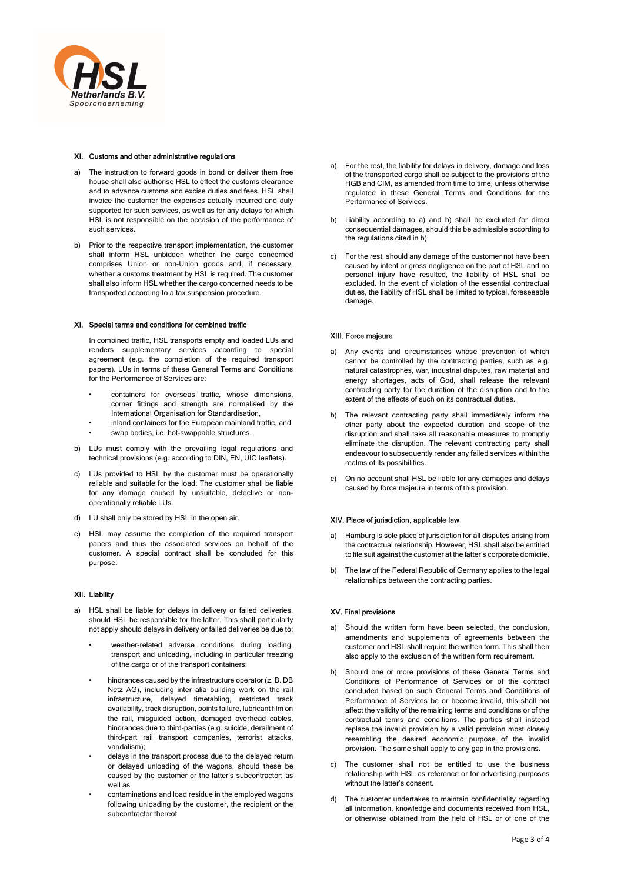

## XI. Customs and other administrative regulations

- a) The instruction to forward goods in bond or deliver them free house shall also authorise HSL to effect the customs clearance and to advance customs and excise duties and fees. HSL shall invoice the customer the expenses actually incurred and duly supported for such services, as well as for any delays for which HSL is not responsible on the occasion of the performance of such services.
- b) Prior to the respective transport implementation, the customer shall inform HSL unbidden whether the cargo concerned comprises Union or non-Union goods and, if necessary, whether a customs treatment by HSL is required. The customer shall also inform HSL whether the cargo concerned needs to be transported according to a tax suspension procedure.

### XI. Special terms and conditions for combined traffic

In combined traffic, HSL transports empty and loaded LUs and renders supplementary services according to special agreement (e.g. the completion of the required transport papers). LUs in terms of these General Terms and Conditions for the Performance of Services are:

- containers for overseas traffic, whose dimensions, corner fittings and strength are normalised by the International Organisation for Standardisation,
- inland containers for the European mainland traffic, and
- swap bodies, i.e. hot-swappable structures.
- b) LUs must comply with the prevailing legal regulations and technical provisions (e.g. according to DIN, EN, UIC leaflets).
- c) LUs provided to HSL by the customer must be operationally reliable and suitable for the load. The customer shall be liable for any damage caused by unsuitable, defective or nonoperationally reliable LUs.
- d) LU shall only be stored by HSL in the open air.
- e) HSL may assume the completion of the required transport papers and thus the associated services on behalf of the customer. A special contract shall be concluded for this purpose.

# XII. Liability

- a) HSL shall be liable for delays in delivery or failed deliveries, should HSL be responsible for the latter. This shall particularly not apply should delays in delivery or failed deliveries be due to:
	- weather-related adverse conditions during loading, transport and unloading, including in particular freezing of the cargo or of the transport containers;
	- hindrances caused by the infrastructure operator (z. B. DB Netz AG), including inter alia building work on the rail infrastructure, delayed timetabling, restricted track availability, track disruption, points failure, lubricant film on the rail, misguided action, damaged overhead cables, hindrances due to third-parties (e.g. suicide, derailment of third-part rail transport companies, terrorist attacks, vandalism);
	- delays in the transport process due to the delayed return or delayed unloading of the wagons, should these be caused by the customer or the latter's subcontractor; as well as
	- contaminations and load residue in the employed wagons following unloading by the customer, the recipient or the subcontractor thereof.
- a) For the rest, the liability for delays in delivery, damage and loss of the transported cargo shall be subject to the provisions of the HGB and CIM, as amended from time to time, unless otherwise regulated in these General Terms and Conditions for the Performance of Services.
- b) Liability according to a) and b) shall be excluded for direct consequential damages, should this be admissible according to the regulations cited in b).
- c) For the rest, should any damage of the customer not have been caused by intent or gross negligence on the part of HSL and no personal injury have resulted, the liability of HSL shall be excluded. In the event of violation of the essential contractual duties, the liability of HSL shall be limited to typical, foreseeable damage.

# XIII. Force majeure

- a) Any events and circumstances whose prevention of which cannot be controlled by the contracting parties, such as e.g. natural catastrophes, war, industrial disputes, raw material and energy shortages, acts of God, shall release the relevant contracting party for the duration of the disruption and to the extent of the effects of such on its contractual duties.
- b) The relevant contracting party shall immediately inform the other party about the expected duration and scope of the disruption and shall take all reasonable measures to promptly eliminate the disruption. The relevant contracting party shall endeavour to subsequently render any failed services within the realms of its possibilities.
- On no account shall HSL be liable for any damages and delays caused by force majeure in terms of this provision.

# XIV. Place of jurisdiction, applicable law

- Hamburg is sole place of jurisdiction for all disputes arising from the contractual relationship. However, HSL shall also be entitled to file suit against the customer at the latter's corporate domicile.
- b) The law of the Federal Republic of Germany applies to the legal relationships between the contracting parties.

# XV. Final provisions

- a) Should the written form have been selected, the conclusion amendments and supplements of agreements between the customer and HSL shall require the written form. This shall then also apply to the exclusion of the written form requirement.
- b) Should one or more provisions of these General Terms and Conditions of Performance of Services or of the contract concluded based on such General Terms and Conditions of Performance of Services be or become invalid, this shall not affect the validity of the remaining terms and conditions or of the contractual terms and conditions. The parties shall instead replace the invalid provision by a valid provision most closely resembling the desired economic purpose of the invalid provision. The same shall apply to any gap in the provisions.
- c) The customer shall not be entitled to use the business relationship with HSL as reference or for advertising purposes without the latter's consent.
- d) The customer undertakes to maintain confidentiality regarding all information, knowledge and documents received from HSL, or otherwise obtained from the field of HSL or of one of the